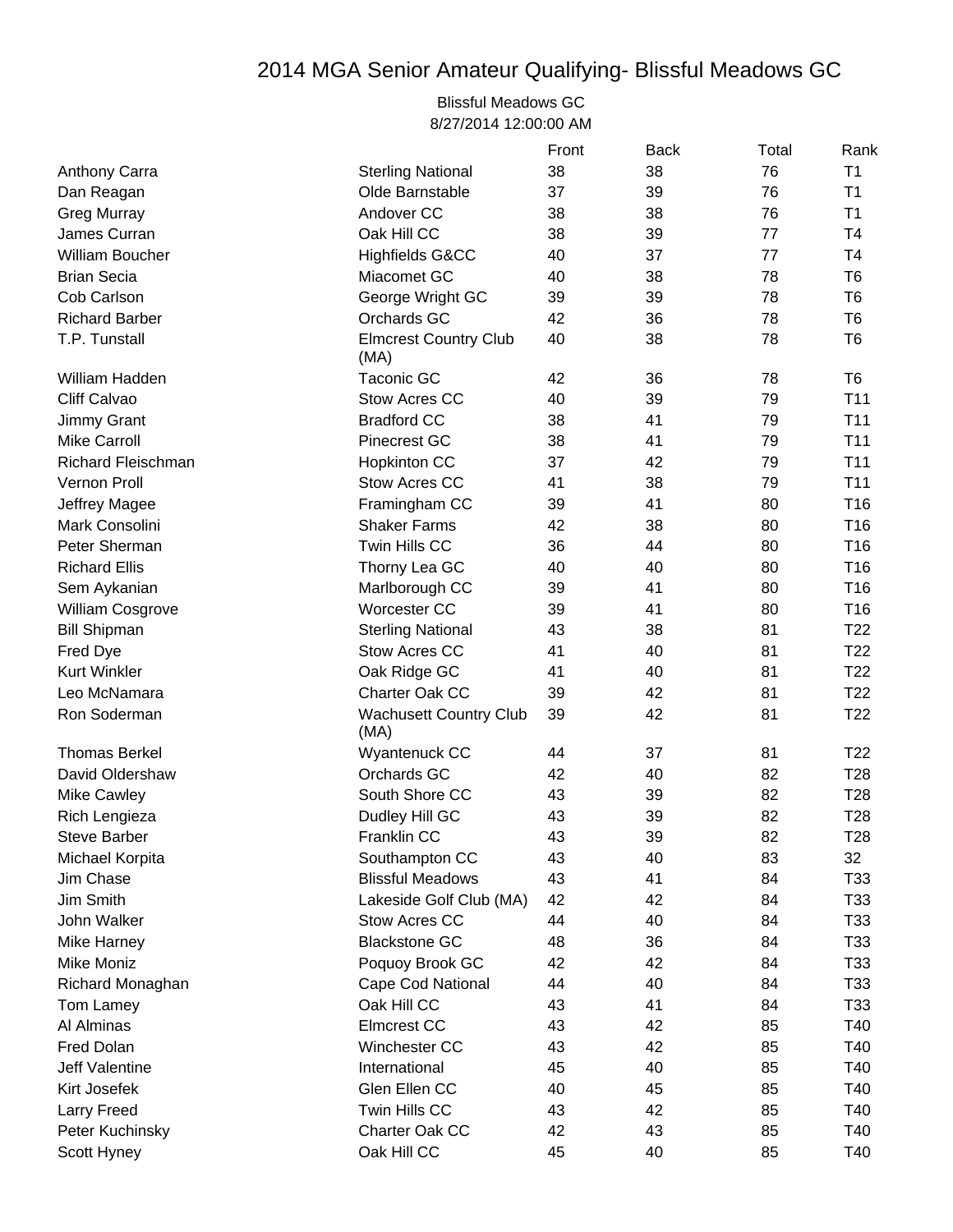## 2014 MGA Senior Amateur Qualifying- Blissful Meadows GC

Blissful Meadows GC 8/27/2014 12:00:00 AM

|                           |                                       | Front | <b>Back</b> | Total | Rank            |
|---------------------------|---------------------------------------|-------|-------------|-------|-----------------|
| Anthony Carra             | <b>Sterling National</b>              | 38    | 38          | 76    | T <sub>1</sub>  |
| Dan Reagan                | Olde Barnstable                       | 37    | 39          | 76    | T <sub>1</sub>  |
| <b>Greg Murray</b>        | Andover CC                            | 38    | 38          | 76    | T1              |
| James Curran              | Oak Hill CC                           | 38    | 39          | 77    | <b>T4</b>       |
| William Boucher           | <b>Highfields G&amp;CC</b>            | 40    | 37          | 77    | <b>T4</b>       |
| <b>Brian Secia</b>        | Miacomet GC                           | 40    | 38          | 78    | T <sub>6</sub>  |
| Cob Carlson               | George Wright GC                      | 39    | 39          | 78    | T <sub>6</sub>  |
| <b>Richard Barber</b>     | Orchards GC                           | 42    | 36          | 78    | T <sub>6</sub>  |
| T.P. Tunstall             | <b>Elmcrest Country Club</b><br>(MA)  | 40    | 38          | 78    | T <sub>6</sub>  |
| William Hadden            | <b>Taconic GC</b>                     | 42    | 36          | 78    | T <sub>6</sub>  |
| Cliff Calvao              | Stow Acres CC                         | 40    | 39          | 79    | T11             |
| Jimmy Grant               | <b>Bradford CC</b>                    | 38    | 41          | 79    | T11             |
| <b>Mike Carroll</b>       | <b>Pinecrest GC</b>                   | 38    | 41          | 79    | T11             |
| <b>Richard Fleischman</b> | <b>Hopkinton CC</b>                   | 37    | 42          | 79    | T11             |
| Vernon Proll              | Stow Acres CC                         | 41    | 38          | 79    | T11             |
| Jeffrey Magee             | Framingham CC                         | 39    | 41          | 80    | T <sub>16</sub> |
| Mark Consolini            | <b>Shaker Farms</b>                   | 42    | 38          | 80    | T <sub>16</sub> |
| Peter Sherman             | Twin Hills CC                         | 36    | 44          | 80    | T <sub>16</sub> |
| <b>Richard Ellis</b>      | Thorny Lea GC                         | 40    | 40          | 80    | T <sub>16</sub> |
| Sem Aykanian              | Marlborough CC                        | 39    | 41          | 80    | T <sub>16</sub> |
| William Cosgrove          | Worcester CC                          | 39    | 41          | 80    | T <sub>16</sub> |
| <b>Bill Shipman</b>       | <b>Sterling National</b>              | 43    | 38          | 81    | T <sub>22</sub> |
| Fred Dye                  | Stow Acres CC                         | 41    | 40          | 81    | T <sub>22</sub> |
| <b>Kurt Winkler</b>       | Oak Ridge GC                          | 41    | 40          | 81    | T <sub>22</sub> |
| Leo McNamara              | Charter Oak CC                        | 39    | 42          | 81    | T <sub>22</sub> |
| Ron Soderman              | <b>Wachusett Country Club</b><br>(MA) | 39    | 42          | 81    | T <sub>22</sub> |
| <b>Thomas Berkel</b>      | Wyantenuck CC                         | 44    | 37          | 81    | T <sub>22</sub> |
| David Oldershaw           | Orchards GC                           | 42    | 40          | 82    | T <sub>28</sub> |
| Mike Cawley               | South Shore CC                        | 43    | 39          | 82    | T <sub>28</sub> |
| Rich Lengieza             | Dudley Hill GC                        | 43    | 39          | 82    | T <sub>28</sub> |
| <b>Steve Barber</b>       | Franklin CC                           | 43    | 39          | 82    | T <sub>28</sub> |
| Michael Korpita           | Southampton CC                        | 43    | 40          | 83    | 32              |
| Jim Chase                 | <b>Blissful Meadows</b>               | 43    | 41          | 84    | T33             |
| Jim Smith                 | Lakeside Golf Club (MA)               | 42    | 42          | 84    | T33             |
| John Walker               | Stow Acres CC                         | 44    | 40          | 84    | T33             |
| <b>Mike Harney</b>        | <b>Blackstone GC</b>                  | 48    | 36          | 84    | T33             |
| Mike Moniz                | Poquoy Brook GC                       | 42    | 42          | 84    | T33             |
| Richard Monaghan          | Cape Cod National                     | 44    | 40          | 84    | T33             |
| Tom Lamey                 | Oak Hill CC                           | 43    | 41          | 84    | T33             |
| Al Alminas                | <b>Elmcrest CC</b>                    | 43    | 42          | 85    | T40             |
| <b>Fred Dolan</b>         | Winchester CC                         | 43    | 42          | 85    | T40             |
| Jeff Valentine            | International                         | 45    | 40          | 85    | T40             |
| Kirt Josefek              | Glen Ellen CC                         | 40    | 45          | 85    | T40             |
| Larry Freed               | Twin Hills CC                         | 43    | 42          | 85    | T40             |
| Peter Kuchinsky           | Charter Oak CC                        | 42    | 43          | 85    | T40             |
| Scott Hyney               | Oak Hill CC                           | 45    | 40          | 85    | T40             |